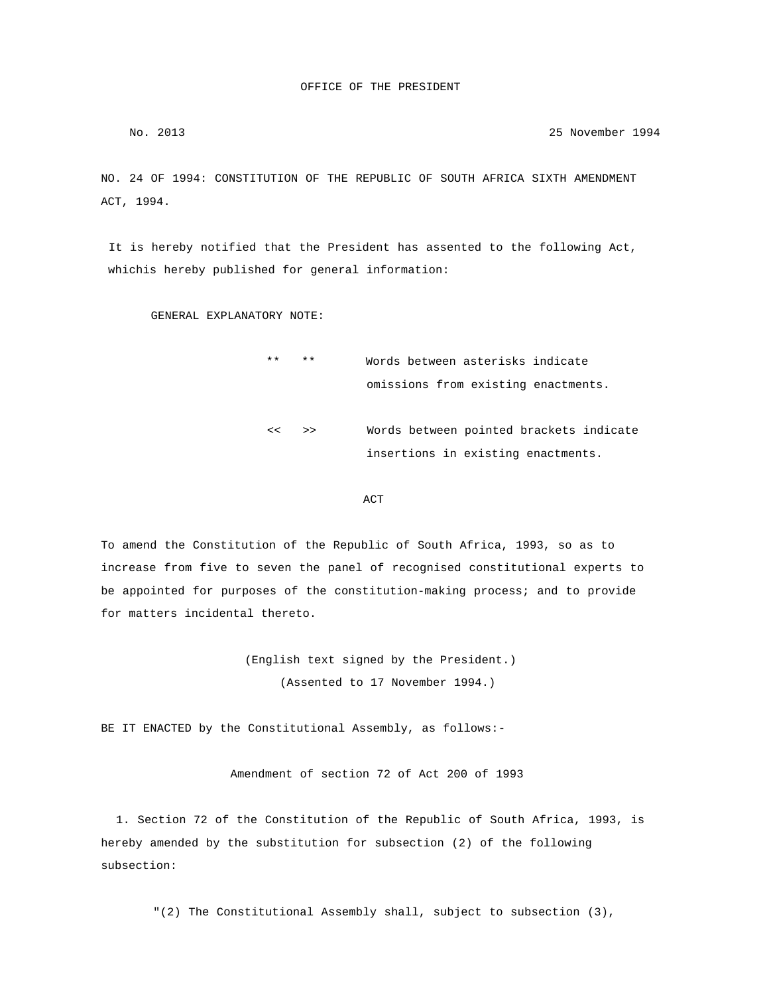No. 2013 25 November 1994

NO. 24 OF 1994: CONSTITUTION OF THE REPUBLIC OF SOUTH AFRICA SIXTH AMENDMENT ACT, 1994.

 It is hereby notified that the President has assented to the following Act, whichis hereby published for general information:

GENERAL EXPLANATORY NOTE:

 \*\* \*\* Words between asterisks indicate omissions from existing enactments. << >> Words between pointed brackets indicate insertions in existing enactments.

**ACT** 

To amend the Constitution of the Republic of South Africa, 1993, so as to increase from five to seven the panel of recognised constitutional experts to be appointed for purposes of the constitution-making process; and to provide for matters incidental thereto.

> (English text signed by the President.) (Assented to 17 November 1994.)

BE IT ENACTED by the Constitutional Assembly, as follows:-

Amendment of section 72 of Act 200 of 1993

 1. Section 72 of the Constitution of the Republic of South Africa, 1993, is hereby amended by the substitution for subsection (2) of the following subsection:

"(2) The Constitutional Assembly shall, subject to subsection (3),